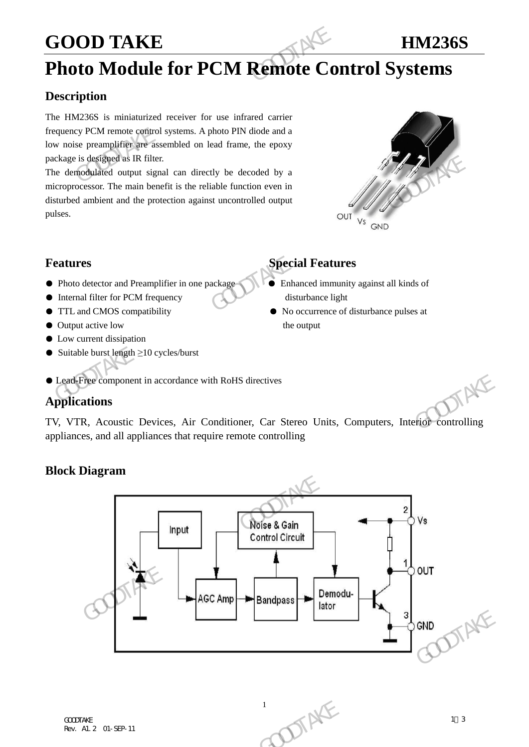### **GOOD TAKE HM236S**

## **Photo Module for PCM Remote Control Systems**

### **Description**

The HM236S is miniaturized receiver for use infrared carrier frequency PCM remote control systems. A photo PIN diode and a low noise preamplifier are assembled on lead frame, the epoxy package is designed as IR filter. GOOD TAKE<br>
Photo Module for PCM Remote Co.<br>
Description<br>
The HM236S is miniaturized receiver for use infrared carrier<br>
frequency PCM remote control systems. A photo PIN diode and a<br>
low noise preamplifier are assembled on

The demodulated output signal can directly be decoded by a microprocessor. The main benefit is the reliable function even in disturbed ambient and the protection against uncontrolled output pulses. package is designed as IR filter.<br>
The demodulated output signal can directly be decoded by a<br>
microprocessor. The main benefit is the reliable function even in<br>
disturbane a mbient and the protection against uncontrolled



- Photo detector and Preamplifier in one package Enhanced immunity against all kinds of
- Internal filter for PCM frequency disturbance light
- 
- Output active low the output
- Low current dissipation
- Suitable burst length  $\geq 10$  cycles/burst

### **Features Special Features**

- 
- TTL and CMOS compatibility No occurrence of disturbance pulses at
- Lead-Free component in accordance with RoHS directives

### **Applications**

TV, VTR, Acoustic Devices, Air Conditioner, Car Stereo Units, Computers, Interior controlling appliances, and all appliances that require remote controlling

### **Block Diagram**



10 TTAKE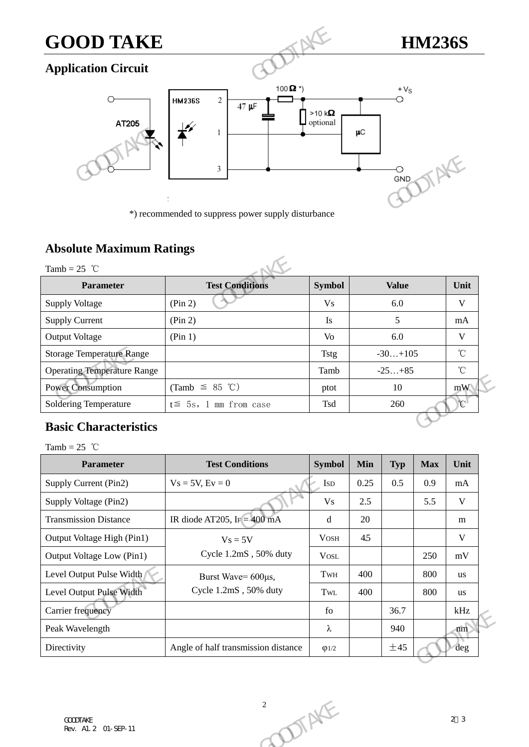# **GOOD TAKE HM236S**

### **Application Circuit**



\*) recommended to suppress power supply disturbance

### **Absolute Maximum Ratings**

|                                                   | *) recommended to suppress power supply disturbance |                |              |                           |
|---------------------------------------------------|-----------------------------------------------------|----------------|--------------|---------------------------|
| <b>Absolute Maximum Ratings</b><br>Tamb = $25$ °C |                                                     |                |              |                           |
| <b>Parameter</b>                                  | <b>Test Conditions</b>                              | <b>Symbol</b>  | <b>Value</b> | Unit                      |
| <b>Supply Voltage</b>                             | (Pin 2)                                             | <b>Vs</b>      | 6.0          | V                         |
| <b>Supply Current</b>                             | (Pin 2)                                             | <b>Is</b>      | 5            | mA                        |
| <b>Output Voltage</b>                             | (Pin 1)                                             | V <sub>o</sub> | 6.0          | V                         |
| <b>Storage Temperature Range</b>                  |                                                     | <b>Tstg</b>    | $-30+105$    | $^{\circ}$ C              |
| <b>Operating Temperature Range</b>                |                                                     | Tamb           | $-25+85$     | $^{\circ}$ C              |
| <b>Power Consumption</b>                          | (Tamb $\leq$ 85 °C)                                 | ptot           | 10           | mW                        |
| <b>Soldering Temperature</b>                      | $t \leq 5s$ , 1 mm from case                        | Tsd            | 260          | $\mathbb{C}^{\mathbb{N}}$ |

### **Basic Characteristics**

| $\sim$<br>-1357                         |                                     |                              |      |            |            |                |
|-----------------------------------------|-------------------------------------|------------------------------|------|------------|------------|----------------|
| <b>Power Consumption</b>                | (Tamb $\leq$ 85 °C)                 | ptot                         |      | 10         |            | mW             |
| <b>Soldering Temperature</b>            | $t \leq 5s$ , 1 mm from case        | Tsd                          |      | 260        |            | $\mathbb{C}^1$ |
| <b>Basic Characteristics</b>            |                                     |                              |      |            |            |                |
| Tamb = $25$ °C                          |                                     |                              |      |            |            |                |
| <b>Parameter</b>                        | <b>Test Conditions</b>              | <b>Symbol</b>                | Min  | <b>Typ</b> | <b>Max</b> | Unit           |
| Supply Current (Pin2)                   | $Vs = 5V, Ev = 0$                   | <b>ISD</b>                   | 0.25 | 0.5        | 0.9        | mA             |
| Supply Voltage (Pin2)                   |                                     | V <sub>S</sub>               | 2.5  |            | 5.5        | $\mathbf V$    |
| <b>Transmission Distance</b>            | IR diode AT205, IF $=$ 400 mA       | d                            | 20   |            |            | m              |
| Output Voltage High (Pin1)              | $V_s = 5V$                          | <b>VOSH</b>                  | 4.5  |            |            | $\mathbf{V}$   |
| Output Voltage Low (Pin1)               | Cycle 1.2mS, 50% duty               | <b>VOSL</b>                  |      |            | 250        | mV             |
| Level Output Pulse Width 1              | Burst Wave= 600µs,                  | TwH                          | 400  |            | 800        | <b>us</b>      |
| Level Output Pulse Width                | Cycle 1.2mS, 50% duty               | $\operatorname{Tw}\nolimits$ | 400  |            | 800        | <b>us</b>      |
| Carrier frequency                       |                                     | fo                           |      | 36.7       |            | kHz            |
| Peak Wavelength                         |                                     | $\lambda$                    |      | 940        |            | nm             |
| Directivity                             | Angle of half transmission distance | $\varphi$ 1/2                |      | ±45        |            | deg            |
|                                         |                                     |                              |      |            |            |                |
|                                         |                                     |                              |      |            |            |                |
|                                         | $\sqrt{2}$                          |                              |      |            |            |                |
| <b>COODTAKE</b><br>Rev. A1. 2 01-SEP-11 | DIAKE                               |                              |      |            |            | 2 <sup>3</sup> |
|                                         |                                     |                              |      |            |            |                |